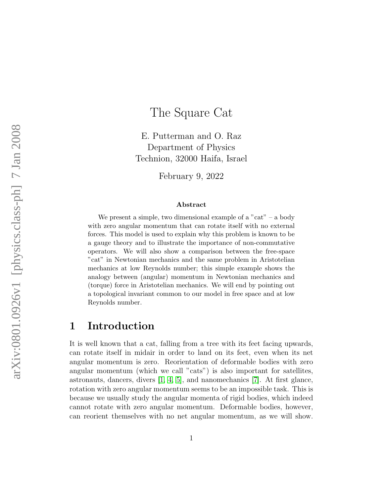# The Square Cat

E. Putterman and O. Raz Department of Physics Technion, 32000 Haifa, Israel

February 9, 2022

#### Abstract

We present a simple, two dimensional example of a "cat" – a body with zero angular momentum that can rotate itself with no external forces. This model is used to explain why this problem is known to be a gauge theory and to illustrate the importance of non-commutative operators. We will also show a comparison between the free-space "cat" in Newtonian mechanics and the same problem in Aristotelian mechanics at low Reynolds number; this simple example shows the analogy between (angular) momentum in Newtonian mechanics and (torque) force in Aristotelian mechanics. We will end by pointing out a topological invariant common to our model in free space and at low Reynolds number.

#### 1 Introduction

It is well known that a cat, falling from a tree with its feet facing upwards, can rotate itself in midair in order to land on its feet, even when its net angular momentum is zero. Reorientation of deformable bodies with zero angular momentum (which we call "cats") is also important for satellites, astronauts, dancers, divers [\[1,](#page-12-0) [4,](#page-13-0) [5\]](#page-13-1), and nanomechanics [\[7\]](#page-13-2). At first glance, rotation with zero angular momentum seems to be an impossible task. This is because we usually study the angular momenta of rigid bodies, which indeed cannot rotate with zero angular momentum. Deformable bodies, however, can reorient themselves with no net angular momentum, as we will show.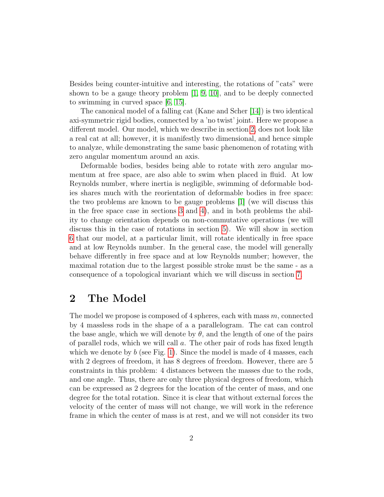Besides being counter-intuitive and interesting, the rotations of "cats" were shown to be a gauge theory problem [\[1,](#page-12-0) [9,](#page-13-3) [10\]](#page-13-4), and to be deeply connected to swimming in curved space [\[6,](#page-13-5) [15\]](#page-13-6).

The canonical model of a falling cat (Kane and Scher [\[14\]](#page-13-7)) is two identical axi-symmetric rigid bodies, connected by a 'no twist' joint. Here we propose a different model. Our model, which we describe in section [2,](#page-1-0) does not look like a real cat at all; however, it is manifestly two dimensional, and hence simple to analyze, while demonstrating the same basic phenomenon of rotating with zero angular momentum around an axis.

Deformable bodies, besides being able to rotate with zero angular momentum at free space, are also able to swim when placed in fluid. At low Reynolds number, where inertia is negligible, swimming of deformable bodies shares much with the reorientation of deformable bodies in free space: the two problems are known to be gauge problems [\[1\]](#page-12-0) (we will discuss this in the free space case in sections [3](#page-4-0) and [4\)](#page-6-0), and in both problems the ability to change orientation depends on non-commutative operations (we will discuss this in the case of rotations in section [5\)](#page-7-0). We will show in section [6](#page-8-0) that our model, at a particular limit, will rotate identically in free space and at low Reynolds number. In the general case, the model will generally behave differently in free space and at low Reynolds number; however, the maximal rotation due to the largest possible stroke must be the same - as a consequence of a topological invariant which we will discuss in section [7.](#page-10-0)

### <span id="page-1-0"></span>2 The Model

The model we propose is composed of 4 spheres, each with mass m, connected by 4 massless rods in the shape of a a parallelogram. The cat can control the base angle, which we will denote by  $\theta$ , and the length of one of the pairs of parallel rods, which we will call  $a$ . The other pair of rods has fixed length which we denote by  $b$  (see Fig. [1\)](#page-2-0). Since the model is made of 4 masses, each with 2 degrees of freedom, it has 8 degrees of freedom. However, there are 5 constraints in this problem: 4 distances between the masses due to the rods, and one angle. Thus, there are only three physical degrees of freedom, which can be expressed as 2 degrees for the location of the center of mass, and one degree for the total rotation. Since it is clear that without external forces the velocity of the center of mass will not change, we will work in the reference frame in which the center of mass is at rest, and we will not consider its two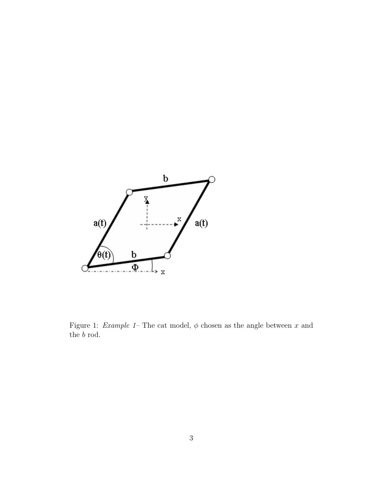

<span id="page-2-0"></span>Figure 1: *Example 1*– The cat model,  $\phi$  chosen as the angle between x and the  $b$  rod.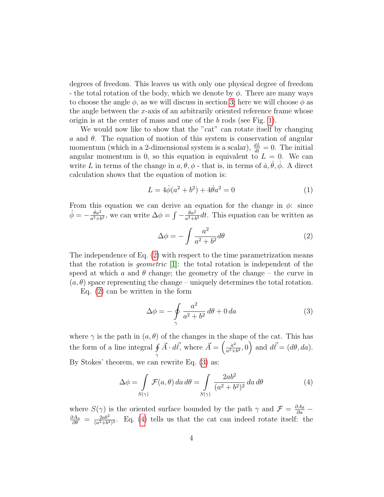degrees of freedom. This leaves us with only one physical degree of freedom - the total rotation of the body, which we denote by  $\phi$ . There are many ways to choose the angle  $\phi$ , as we will discuss in section [3;](#page-4-0) here we will choose  $\phi$  as the angle between the  $x$ -axis of an arbitrarily oriented reference frame whose origin is at the center of mass and one of the b rods (see Fig. [1\)](#page-2-0).

We would now like to show that the "cat" can rotate itself by changing a and  $\theta$ . The equation of motion of this system is conservation of angular momentum (which in a 2-dimensional system is a scalar),  $\frac{dL}{dt} = 0$ . The initial angular momentum is 0, so this equation is equivalent to  $L = 0$ . We can write L in terms of the change in  $a, \theta, \phi$  - that is, in terms of  $\dot{a}, \dot{\theta}, \dot{\phi}$ . A direct calculation shows that the equation of motion is:

$$
L = 4\dot{\phi}(a^2 + b^2) + 4\dot{\theta}a^2 = 0\tag{1}
$$

From this equation we can derive an equation for the change in  $\phi$ : since  $\dot{\phi} = -\frac{\dot{\theta}a^2}{a^2 + b^2}$  $\frac{\dot{\theta}a^2}{a^2+b^2}$ , we can write  $\Delta\phi = \int -\frac{\dot{\theta}a^2}{a^2+b^2}$  $rac{\theta a^2}{a^2+b^2}dt$ . This equation can be written as

<span id="page-3-0"></span>
$$
\Delta \phi = -\int \frac{a^2}{a^2 + b^2} d\theta \tag{2}
$$

The independence of Eq. [\(2\)](#page-3-0) with respect to the time parametrization means that the rotation is *geometric* [\[1\]](#page-12-0): the total rotation is independent of the speed at which a and  $\theta$  change; the geometry of the change – the curve in  $(a, \theta)$  space representing the change – uniquely determines the total rotation.

Eq. [\(2\)](#page-3-0) can be written in the form

<span id="page-3-1"></span>
$$
\Delta \phi = -\oint\limits_{\gamma} \frac{a^2}{a^2 + b^2} \, d\theta + 0 \, da \tag{3}
$$

where  $\gamma$  is the path in  $(a, \theta)$  of the changes in the shape of the cat. This has the form of a line integral  $\oint$ γ  $\vec{A} \cdot d\vec{\ell}$ , where  $\vec{A} = \begin{pmatrix} a^2 \\ a^2 + b^2 \end{pmatrix}$  $\left(\frac{a^2}{a^2+b^2},0\right)$  and  $d\vec{\ell} = (d\theta, da)$ . By Stokes' theorem, we can rewrite Eq. [\(3\)](#page-3-1) as:

<span id="page-3-2"></span>
$$
\Delta \phi = \int\limits_{S(\gamma)} \mathcal{F}(a,\theta) \, da \, d\theta = \int\limits_{S(\gamma)} \frac{2ab^2}{(a^2 + b^2)^2} \, da \, d\theta \tag{4}
$$

where  $S(\gamma)$  is the oriented surface bounded by the path  $\gamma$  and  $\mathcal{F} = \frac{\partial A_{\theta}}{\partial a}$  $\frac{\partial A_a}{\partial \theta} = \frac{2ab^2}{(a^2+b^2)}$  $\frac{2ab^2}{(a^2+b^2)^2}$ . Eq. [\(4\)](#page-3-2) tells us that the cat can indeed rotate itself: the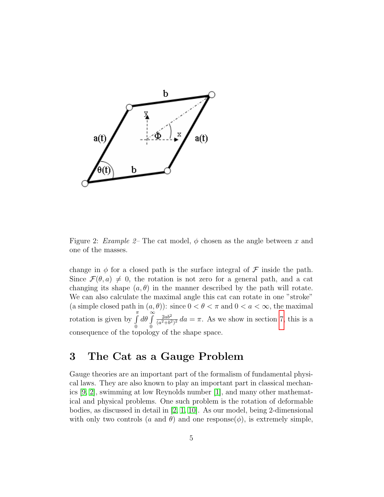

<span id="page-4-1"></span>Figure 2: Example 2– The cat model,  $\phi$  chosen as the angle between x and one of the masses.

change in  $\phi$  for a closed path is the surface integral of  $\mathcal F$  inside the path. Since  $\mathcal{F}(\theta, a) \neq 0$ , the rotation is not zero for a general path, and a cat changing its shape  $(a, \theta)$  in the manner described by the path will rotate. We can also calculate the maximal angle this cat can rotate in one "stroke" (a simple closed path in  $(a, \theta)$ ): since  $0 < \theta < \pi$  and  $0 < a < \infty$ , the maximal rotation is given by  $\int_0^{\pi}$ 0  $\int d\theta \int$ 0  $2ab^2$  $\frac{2ab^2}{(a^2+b^2)^2}$  da =  $\pi$ . As we show in section [7,](#page-10-0) this is a consequence of the topology of the shape space.

## <span id="page-4-0"></span>3 The Cat as a Gauge Problem

Gauge theories are an important part of the formalism of fundamental physical laws. They are also known to play an important part in classical mechanics [\[9,](#page-13-3) [2\]](#page-12-1), swimming at low Reynolds number [\[1\]](#page-12-0), and many other mathematical and physical problems. One such problem is the rotation of deformable bodies, as discussed in detail in [\[2,](#page-12-1) [1,](#page-12-0) [10\]](#page-13-4). As our model, being 2-dimensional with only two controls (a and  $\theta$ ) and one response( $\phi$ ), is extremely simple,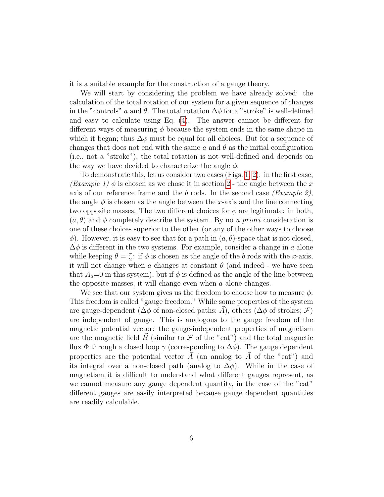it is a suitable example for the construction of a gauge theory.

We will start by considering the problem we have already solved: the calculation of the total rotation of our system for a given sequence of changes in the "controls" a and  $\theta$ . The total rotation  $\Delta\phi$  for a "stroke" is well-defined and easy to calculate using Eq. [\(4\)](#page-3-2). The answer cannot be different for different ways of measuring  $\phi$  because the system ends in the same shape in which it began; thus  $\Delta\phi$  must be equal for all choices. But for a sequence of changes that does not end with the same a and  $\theta$  as the initial configuration (i.e., not a "stroke"), the total rotation is not well-defined and depends on the way we have decided to characterize the angle  $\phi$ .

To demonstrate this, let us consider two cases (Figs. [1,](#page-2-0) [2\)](#page-4-1): in the first case, (Example 1)  $\phi$  is chosen as we chose it in section [2](#page-1-0) - the angle between the x axis of our reference frame and the b rods. In the second case (Example 2), the angle  $\phi$  is chosen as the angle between the x-axis and the line connecting two opposite masses. The two different choices for  $\phi$  are legitimate: in both,  $(a, \theta)$  and  $\phi$  completely describe the system. By no a priori consideration is one of these choices superior to the other (or any of the other ways to choose  $\phi$ ). However, it is easy to see that for a path in  $(a, \theta)$ -space that is not closed,  $\Delta\phi$  is different in the two systems. For example, consider a change in a alone while keeping  $\theta = \frac{\pi}{2}$  $\frac{\pi}{2}$ : if  $\phi$  is chosen as the angle of the b rods with the x-axis, it will not change when a changes at constant  $\theta$  (and indeed - we have seen that  $A_a=0$  in this system), but if  $\phi$  is defined as the angle of the line between the opposite masses, it will change even when  $a$  alone changes.

We see that our system gives us the freedom to choose how to measure  $\phi$ . This freedom is called "gauge freedom." While some properties of the system are gauge-dependent ( $\Delta\phi$  of non-closed paths;  $\vec{A}$ ), others ( $\Delta\phi$  of strokes;  $\mathcal{F}$ ) are independent of gauge. This is analogous to the gauge freedom of the magnetic potential vector: the gauge-independent properties of magnetism are the magnetic field  $\vec{B}$  (similar to  $\mathcal F$  of the "cat") and the total magnetic flux  $\Phi$  through a closed loop  $\gamma$  (corresponding to  $\Delta\phi$ ). The gauge dependent properties are the potential vector  $\vec{A}$  (an analog to  $\vec{A}$  of the "cat") and its integral over a non-closed path (analog to  $\Delta\phi$ ). While in the case of magnetism it is difficult to understand what different gauges represent, as we cannot measure any gauge dependent quantity, in the case of the "cat" different gauges are easily interpreted because gauge dependent quantities are readily calculable.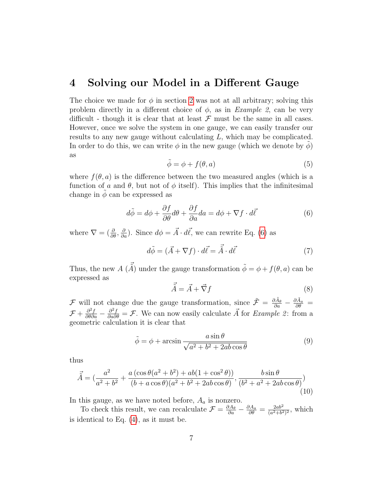#### <span id="page-6-0"></span>4 Solving our Model in a Different Gauge

The choice we made for  $\phi$  in section [2](#page-1-0) was not at all arbitrary; solving this problem directly in a different choice of  $\phi$ , as in *Example 2*, can be very difficult - though it is clear that at least  $\mathcal F$  must be the same in all cases. However, once we solve the system in one gauge, we can easily transfer our results to any new gauge without calculating  $L$ , which may be complicated. In order to do this, we can write  $\phi$  in the new gauge (which we denote by  $\phi$ ) as

$$
\tilde{\phi} = \phi + f(\theta, a) \tag{5}
$$

where  $f(\theta, a)$  is the difference between the two measured angles (which is a function of a and  $\theta$ , but not of  $\phi$  itself). This implies that the infinitesimal change in  $\phi$  can be expressed as

<span id="page-6-1"></span>
$$
d\tilde{\phi} = d\phi + \frac{\partial f}{\partial \theta} d\theta + \frac{\partial f}{\partial a} da = d\phi + \nabla f \cdot d\vec{\ell}
$$
 (6)

where  $\nabla = (\frac{\partial}{\partial \theta}, \frac{\partial}{\partial a})$ . Since  $d\phi = \vec{A} \cdot d\vec{\ell}$ , we can rewrite Eq. [\(6\)](#page-6-1) as

$$
d\tilde{\phi} = (\vec{A} + \nabla f) \cdot d\vec{\ell} = \vec{\tilde{A}} \cdot d\vec{\ell}
$$
 (7)

Thus, the new  $A(\vec{\tilde{A}})$  under the gauge transformation  $\tilde{\phi} = \phi + f(\theta, a)$  can be expressed as

$$
\vec{\tilde{A}} = \vec{A} + \vec{\nabla}f \tag{8}
$$

 $\mathcal{F}$  will not change due the gauge transformation, since  $\tilde{\mathcal{F}} = \frac{\partial \tilde{A}_{\theta}}{\partial a} - \frac{\partial \tilde{A}_{a}}{\partial \theta} =$  $\mathcal{F} + \frac{\partial^2 f}{\partial \theta \partial a} - \frac{\partial^2 f}{\partial a \partial \theta} = \mathcal{F}$ . We can now easily calculate  $\vec{A}$  for *Example 2*: from a geometric calculation it is clear that

$$
\tilde{\phi} = \phi + \arcsin \frac{a \sin \theta}{\sqrt{a^2 + b^2 + 2ab \cos \theta}}
$$
(9)

thus

$$
\vec{\tilde{A}} = \left(\frac{a^2}{a^2 + b^2} + \frac{a(\cos\theta(a^2 + b^2) + ab(1 + \cos^2\theta))}{(b + a\cos\theta)(a^2 + b^2 + 2ab\cos\theta)}, \frac{b\sin\theta}{(b^2 + a^2 + 2ab\cos\theta)}\right)
$$
(10)

In this gauge, as we have noted before,  $A_a$  is nonzero.

To check this result, we can recalculate  $\mathcal{F} = \frac{\partial A_{\theta}}{\partial a} - \frac{\partial A_{a}}{\partial \theta} = \frac{2ab^2}{(a^2 + b^2)}$  $\frac{2ab^2}{(a^2+b^2)^2}$ , which is identical to Eq.  $(4)$ , as it must be.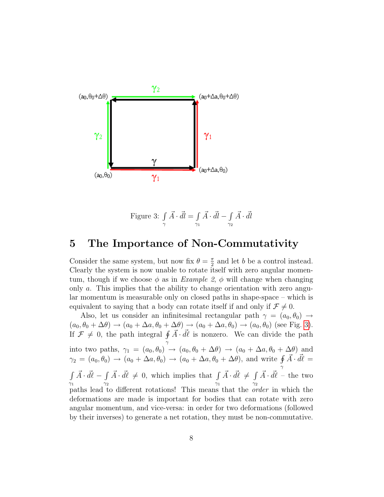

<span id="page-7-1"></span>Figure 3: 
$$
\int_{\gamma} \vec{A} \cdot \vec{dl} = \int_{\gamma_1} \vec{A} \cdot \vec{dl} - \int_{\gamma_2} \vec{A} \cdot \vec{dl}
$$

### <span id="page-7-0"></span>5 The Importance of Non-Commutativity

Consider the same system, but now fix  $\theta = \frac{\pi}{2}$  $\frac{\pi}{2}$  and let b be a control instead. Clearly the system is now unable to rotate itself with zero angular momentum, though if we choose  $\phi$  as in *Example 2,*  $\phi$  will change when changing only a. This implies that the ability to change orientation with zero angular momentum is measurable only on closed paths in shape-space – which is equivalent to saying that a body can rotate itself if and only if  $\mathcal{F} \neq 0$ .

Also, let us consider an infinitesimal rectangular path  $\gamma = (a_0, \theta_0) \rightarrow$  $(a_0, \theta_0 + \Delta\theta) \rightarrow (a_0 + \Delta a, \theta_0 + \Delta\theta) \rightarrow (a_0 + \Delta a, \theta_0) \rightarrow (a_0, \theta_0)$  (see Fig. [3\)](#page-7-1). If  $\mathcal{F} \neq 0$ , the path integral  $\oint \vec{A} \cdot d\vec{l}$  is nonzero. We can divide the path γ into two paths,  $\gamma_1 = (a_0, \theta_0) \rightarrow (a_0, \theta_0 + \Delta\theta) \rightarrow (a_0 + \Delta a, \theta_0 + \Delta\theta)$  and  $\gamma_2 = (a_0, \theta_0) \rightarrow (a_0 + \Delta a, \theta_0) \rightarrow (a_0 + \Delta a, \theta_0 + \Delta \theta)$ , and write  $\oint \vec{A} \cdot d\vec{l} =$ γ R  $\gamma_1$  $\vec{A} \cdot \vec{d\ell} - \int$  $\gamma_2$  $\vec{A} \cdot \vec{d\ell} \neq 0$ , which implies that  $\int$  $\gamma_1$  $\vec{A} \cdot \vec{d\ell} \neq \int$  $\gamma_2$  $\vec{A} \cdot \vec{d\ell}$  – the two paths lead to different rotations! This means that the order in which the deformations are made is important for bodies that can rotate with zero angular momentum, and vice-versa: in order for two deformations (followed by their inverses) to generate a net rotation, they must be non-commutative.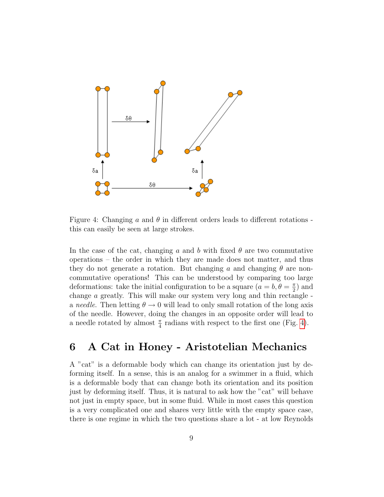

<span id="page-8-1"></span>Figure 4: Changing a and  $\theta$  in different orders leads to different rotations this can easily be seen at large strokes.

In the case of the cat, changing a and b with fixed  $\theta$  are two commutative operations – the order in which they are made does not matter, and thus they do not generate a rotation. But changing a and changing  $\theta$  are noncommutative operations! This can be understood by comparing too large deformations: take the initial configuration to be a square  $(a = b, \theta = \frac{\pi}{2})$  $(\frac{\pi}{2})$  and change a greatly. This will make our system very long and thin rectangle a needle. Then letting  $\theta \rightarrow 0$  will lead to only small rotation of the long axis of the needle. However, doing the changes in an opposite order will lead to a needle rotated by almost  $\frac{\pi}{4}$  radians with respect to the first one (Fig. [4\)](#page-8-1).

#### <span id="page-8-0"></span>6 A Cat in Honey - Aristotelian Mechanics

A "cat" is a deformable body which can change its orientation just by deforming itself. In a sense, this is an analog for a swimmer in a fluid, which is a deformable body that can change both its orientation and its position just by deforming itself. Thus, it is natural to ask how the "cat" will behave not just in empty space, but in some fluid. While in most cases this question is a very complicated one and shares very little with the empty space case, there is one regime in which the two questions share a lot - at low Reynolds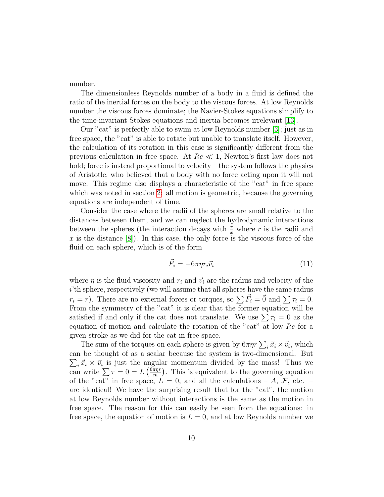number.

The dimensionless Reynolds number of a body in a fluid is defined the ratio of the inertial forces on the body to the viscous forces. At low Reynolds number the viscous forces dominate; the Navier-Stokes equations simplify to the time-invariant Stokes equations and inertia becomes irrelevant [\[13\]](#page-13-8).

Our "cat" is perfectly able to swim at low Reynolds number [\[3\]](#page-13-9); just as in free space, the "cat" is able to rotate but unable to translate itself. However, the calculation of its rotation in this case is significantly different from the previous calculation in free space. At  $Re \ll 1$ , Newton's first law does not hold; force is instead proportional to velocity – the system follows the physics of Aristotle, who believed that a body with no force acting upon it will not move. This regime also displays a characteristic of the "cat" in free space which was noted in section [2:](#page-1-0) all motion is geometric, because the governing equations are independent of time.

Consider the case where the radii of the spheres are small relative to the distances between them, and we can neglect the hydrodynamic interactions between the spheres (the interaction decays with  $\frac{r}{x}$  where r is the radii and x is the distance  $[8]$ . In this case, the only force is the viscous force of the fluid on each sphere, which is of the form

$$
\vec{F}_i = -6\pi\eta r_i \vec{v}_i \tag{11}
$$

where  $\eta$  is the fluid viscosity and  $r_i$  and  $\vec{v}_i$  are the radius and velocity of the i'th sphere, respectively (we will assume that all spheres have the same radius  $r_i = r$ ). There are no external forces or torques, so  $\sum \vec{F}_i = \vec{0}$  and  $\sum \tau_i = 0$ . From the symmetry of the "cat" it is clear that the former equation will be satisfied if and only if the cat does not translate. We use  $\sum \tau_i = 0$  as the equation of motion and calculate the rotation of the "cat" at low Re for a given stroke as we did for the cat in free space.

The sum of the torques on each sphere is given by  $6\pi\eta r \sum_i \vec{x}_i \times \vec{v}_i$ , which can be thought of as a scalar because the system is two-dimensional. But  $\sum_i \vec{x}_i \times \vec{v}_i$  is just the angular momentum divided by the mass! Thus we can write  $\sum \tau = 0 = L \left(\frac{6\pi\eta r}{m}\right)$  $\frac{\pi \eta r}{m}$ . This is equivalent to the governing equation of the "cat" in free space,  $L = 0$ , and all the calculations  $-A, \mathcal{F}$ , etc.  $$ are identical! We have the surprising result that for the "cat", the motion at low Reynolds number without interactions is the same as the motion in free space. The reason for this can easily be seen from the equations: in free space, the equation of motion is  $L = 0$ , and at low Reynolds number we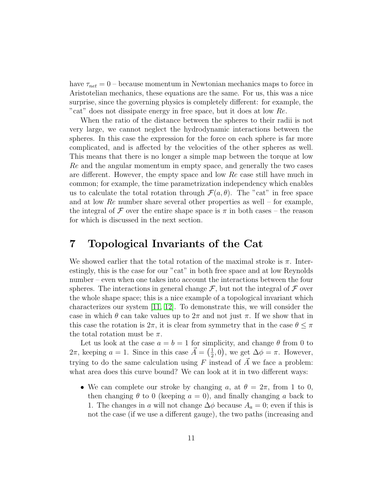have  $\tau_{net} = 0$  – because momentum in Newtonian mechanics maps to force in Aristotelian mechanics, these equations are the same. For us, this was a nice surprise, since the governing physics is completely different: for example, the "cat" does not dissipate energy in free space, but it does at low Re.

When the ratio of the distance between the spheres to their radii is not very large, we cannot neglect the hydrodynamic interactions between the spheres. In this case the expression for the force on each sphere is far more complicated, and is affected by the velocities of the other spheres as well. This means that there is no longer a simple map between the torque at low Re and the angular momentum in empty space, and generally the two cases are different. However, the empty space and low Re case still have much in common; for example, the time parametrization independency which enables us to calculate the total rotation through  $\mathcal{F}(a, \theta)$ . The "cat" in free space and at low  $Re$  number share several other properties as well – for example, the integral of F over the entire shape space is  $\pi$  in both cases – the reason for which is discussed in the next section.

#### <span id="page-10-0"></span>7 Topological Invariants of the Cat

We showed earlier that the total rotation of the maximal stroke is  $\pi$ . Interestingly, this is the case for our "cat" in both free space and at low Reynolds number – even when one takes into account the interactions between the four spheres. The interactions in general change  $\mathcal{F}$ , but not the integral of  $\mathcal F$  over the whole shape space; this is a nice example of a topological invariant which characterizes our system [\[11,](#page-13-11) [12\]](#page-13-12). To demonstrate this, we will consider the case in which  $\theta$  can take values up to  $2\pi$  and not just  $\pi$ . If we show that in this case the rotation is  $2\pi$ , it is clear from symmetry that in the case  $\theta \leq \pi$ the total rotation must be  $\pi$ .

Let us look at the case  $a = b = 1$  for simplicity, and change  $\theta$  from 0 to  $2\pi$ , keeping  $a = 1$ . Since in this case  $\vec{A} = \begin{pmatrix} \frac{1}{2} \end{pmatrix}$  $(\frac{1}{2}, 0)$ , we get  $\Delta \phi = \pi$ . However, trying to do the same calculation using F instead of  $\vec{A}$  we face a problem: what area does this curve bound? We can look at it in two different ways:

• We can complete our stroke by changing a, at  $\theta = 2\pi$ , from 1 to 0, then changing  $\theta$  to 0 (keeping  $a = 0$ ), and finally changing a back to 1. The changes in a will not change  $\Delta \phi$  because  $A_a = 0$ ; even if this is not the case (if we use a different gauge), the two paths (increasing and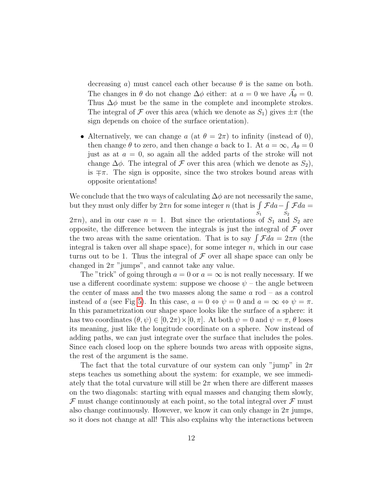decreasing a) must cancel each other because  $\theta$  is the same on both. The changes in  $\theta$  do not change  $\Delta \phi$  either: at  $a = 0$  we have  $\vec{A}_{\theta} = 0$ . Thus  $\Delta\phi$  must be the same in the complete and incomplete strokes. The integral of F over this area (which we denote as  $S_1$ ) gives  $\pm \pi$  (the sign depends on choice of the surface orientation).

• Alternatively, we can change a (at  $\theta = 2\pi$ ) to infinity (instead of 0), then change  $\theta$  to zero, and then change a back to 1. At  $a = \infty$ ,  $A_{\theta} = 0$ just as at  $a = 0$ , so again all the added parts of the stroke will not change  $\Delta \phi$ . The integral of F over this area (which we denote as  $S_2$ ), is  $\mp \pi$ . The sign is opposite, since the two strokes bound areas with opposite orientations!

We conclude that the two ways of calculating  $\Delta\phi$  are not necessarily the same, but they must only differ by  $2\pi n$  for some integer n (that is  $\int$  $S_1$  $\mathcal{F}da-\int$  $\scriptstyle S_2$  $\mathcal{F}da =$  $(2\pi n)$ , and in our case  $n = 1$ . But since the orientations of  $S_1$  and  $S_2$  are opposite, the difference between the integrals is just the integral of  $\mathcal F$  over the two areas with the same orientation. That is to say  $\int \mathcal{F} da = 2\pi n$  (the integral is taken over all shape space), for some integer  $n$ , which in our case turns out to be 1. Thus the integral of  $\mathcal F$  over all shape space can only be changed in  $2\pi$  "jumps", and cannot take any value.

The "trick" of going through  $a = 0$  or  $a = \infty$  is not really necessary. If we use a different coordinate system: suppose we choose  $\psi$  – the angle between the center of mass and the two masses along the same  $a$  rod – as a control instead of a (see Fig [5\)](#page-12-2). In this case,  $a = 0 \Leftrightarrow \psi = 0$  and  $a = \infty \Leftrightarrow \psi = \pi$ . In this parametrization our shape space looks like the surface of a sphere: it has two coordinates  $(\theta, \psi) \in [0, 2\pi) \times [0, \pi]$ . At both  $\psi = 0$  and  $\psi = \pi$ ,  $\theta$  loses its meaning, just like the longitude coordinate on a sphere. Now instead of adding paths, we can just integrate over the surface that includes the poles. Since each closed loop on the sphere bounds two areas with opposite signs, the rest of the argument is the same.

The fact that the total curvature of our system can only "jump" in  $2\pi$ steps teaches us something about the system: for example, we see immediately that the total curvature will still be  $2\pi$  when there are different masses on the two diagonals: starting with equal masses and changing them slowly,  $\mathcal F$  must change continuously at each point, so the total integral over  $\mathcal F$  must also change continuously. However, we know it can only change in  $2\pi$  jumps, so it does not change at all! This also explains why the interactions between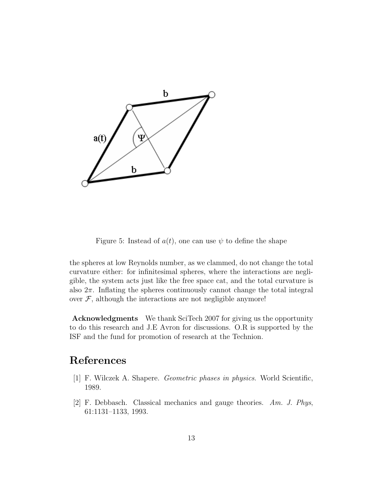

<span id="page-12-2"></span>Figure 5: Instead of  $a(t)$ , one can use  $\psi$  to define the shape

the spheres at low Reynolds number, as we clammed, do not change the total curvature either: for infinitesimal spheres, where the interactions are negligible, the system acts just like the free space cat, and the total curvature is also  $2\pi$ . Inflating the spheres continuously cannot change the total integral over  $F$ , although the interactions are not negligible anymore!

Acknowledgments We thank SciTech 2007 for giving us the opportunity to do this research and J.E Avron for discussions. O.R is supported by the ISF and the fund for promotion of research at the Technion.

## References

- <span id="page-12-0"></span>[1] F. Wilczek A. Shapere. Geometric phases in physics. World Scientific, 1989.
- <span id="page-12-1"></span>[2] F. Debbasch. Classical mechanics and gauge theories. Am. J. Phys, 61:1131–1133, 1993.